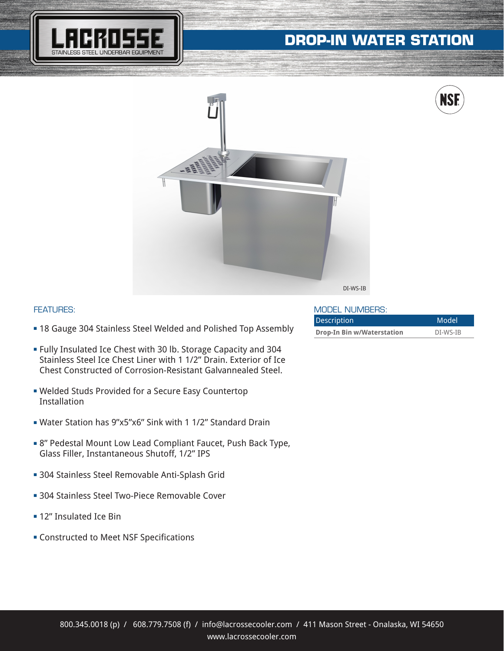# **DROP-IN WATER STATION**

**fi**

**IS** 





### FEATURES:

- **= 18 Gauge 304 Stainless Steel Welded and Polished Top Assembly**
- <sup>n</sup> Fully Insulated Ice Chest with 30 lb. Storage Capacity and 304 Stainless Steel Ice Chest Liner with 1 1/2" Drain. Exterior of Ice Chest Constructed of Corrosion-Resistant Galvannealed Steel.
- **Welded Studs Provided for a Secure Easy Countertop** Installation
- <sup>n</sup> Water Station has 9"x5"x6" Sink with 1 1/2" Standard Drain
- 8" Pedestal Mount Low Lead Compliant Faucet, Push Back Type, Glass Filler, Instantaneous Shutoff, 1/2" IPS
- **304 Stainless Steel Removable Anti-Splash Grid**
- **304 Stainless Steel Two-Piece Removable Cover**
- **= 12" Insulated Ice Bin**
- **EX Constructed to Meet NSF Specifications**

#### MODEL NUMBERS:

| <b>Description</b>                | Model    |
|-----------------------------------|----------|
| <b>Drop-In Bin w/Waterstation</b> | DI-WS-IB |